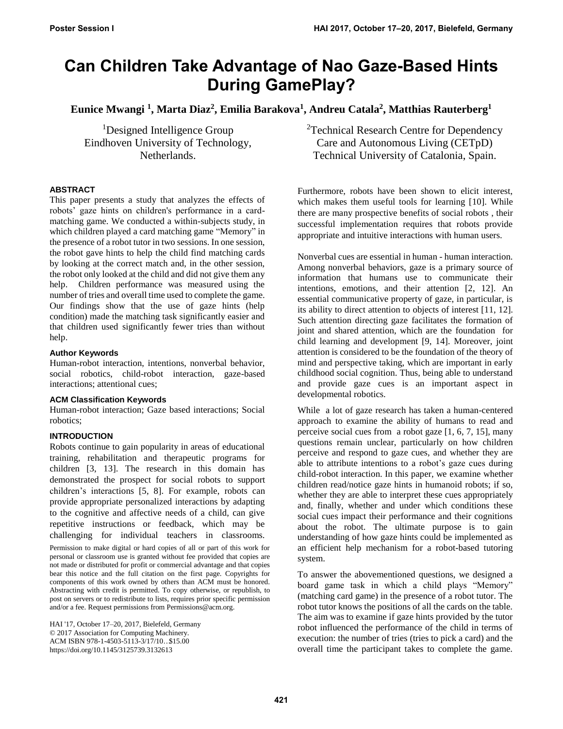# **Can Children Take Advantage of Nao Gaze-Based Hints During GamePlay?**

**Eunice Mwangi <sup>1</sup> , Marta Diaz<sup>2</sup> , Emilia Barakova<sup>1</sup> , Andreu Catala<sup>2</sup> , Matthias Rauterberg<sup>1</sup>**

<sup>1</sup>Designed Intelligence Group Eindhoven University of Technology, Netherlands.

# **ABSTRACT**

This paper presents a study that analyzes the effects of robots' gaze hints on children's performance in a cardmatching game. We conducted a within-subjects study, in which children played a card matching game "Memory" in the presence of a robot tutor in two sessions. In one session, the robot gave hints to help the child find matching cards by looking at the correct match and, in the other session, the robot only looked at the child and did not give them any help. Children performance was measured using the number of tries and overall time used to complete the game. Our findings show that the use of gaze hints (help condition) made the matching task significantly easier and that children used significantly fewer tries than without help.

## **Author Keywords**

Human-robot interaction, intentions, nonverbal behavior, social robotics, child-robot interaction, gaze-based interactions; attentional cues;

#### **ACM Classification Keywords**

Human-robot interaction; Gaze based interactions; Social robotics;

# **INTRODUCTION**

Robots continue to gain popularity in areas of educational training, rehabilitation and therapeutic programs for children [3, 13]. The research in this domain has demonstrated the prospect for social robots to support children's interactions [5, 8]. For example, robots can provide appropriate personalized interactions by adapting to the cognitive and affective needs of a child, can give repetitive instructions or feedback, which may be challenging for individual teachers in classrooms.

Permission to make digital or hard copies of all or part of this work for personal or classroom use is granted without fee provided that copies are not made or distributed for profit or commercial advantage and that copies bear this notice and the full citation on the first page. Copyrights for components of this work owned by others than ACM must be honored. Abstracting with credit is permitted. To copy otherwise, or republish, to post on servers or to redistribute to lists, requires prior specific permission and/or a fee. Request permissions fro[m Permissions@acm.org.](mailto:Permissions@acm.org)

HAI '17, October 17–20, 2017, Bielefeld, Germany © 2017 Association for Computing Machinery. ACM ISBN 978-1-4503-5113-3/17/10…\$15.00 <https://doi.org/10.1145/3125739.3132613>

<sup>2</sup>Technical Research Centre for Dependency Care and Autonomous Living (CETpD) Technical University of Catalonia, Spain.

Furthermore, robots have been shown to elicit interest, which makes them useful tools for learning [10]. While there are many prospective benefits of social robots , their successful implementation requires that robots provide appropriate and intuitive interactions with human users.

Nonverbal cues are essential in human - human interaction. Among nonverbal behaviors, gaze is a primary source of information that humans use to communicate their intentions, emotions, and their attention [2, 12]. An essential communicative property of gaze, in particular, is its ability to direct attention to objects of interest [11, 12]. Such attention directing gaze facilitates the formation of joint and shared attention, which are the foundation for child learning and development [9, 14]. Moreover, joint attention is considered to be the foundation of the theory of mind and perspective taking, which are important in early childhood social cognition. Thus, being able to understand and provide gaze cues is an important aspect in developmental robotics.

While a lot of gaze research has taken a human-centered approach to examine the ability of humans to read and perceive social cues from a robot gaze [1, 6, 7, 15], many questions remain unclear, particularly on how children perceive and respond to gaze cues, and whether they are able to attribute intentions to a robot's gaze cues during child-robot interaction. In this paper, we examine whether children read/notice gaze hints in humanoid robots; if so, whether they are able to interpret these cues appropriately and, finally, whether and under which conditions these social cues impact their performance and their cognitions about the robot. The ultimate purpose is to gain understanding of how gaze hints could be implemented as an efficient help mechanism for a robot-based tutoring system.

To answer the abovementioned questions, we designed a board game task in which a child plays "Memory" (matching card game) in the presence of a robot tutor. The robot tutor knows the positions of all the cards on the table. The aim was to examine if gaze hints provided by the tutor robot influenced the performance of the child in terms of execution: the number of tries (tries to pick a card) and the overall time the participant takes to complete the game.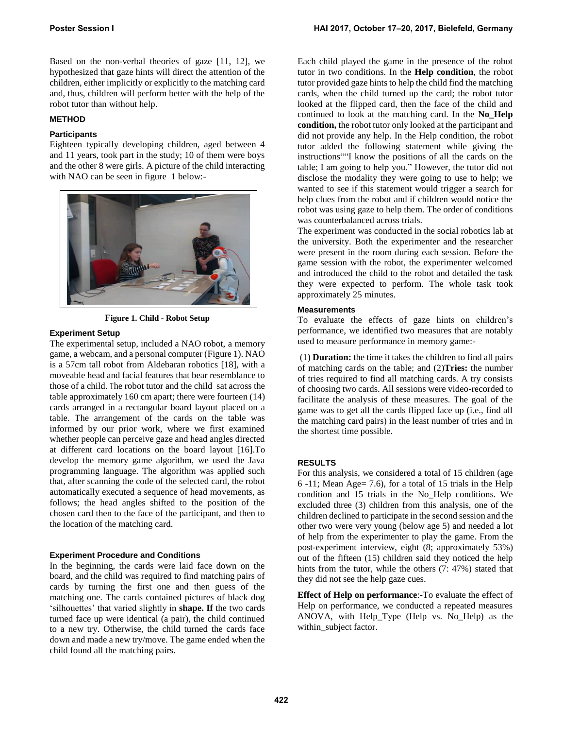Based on the non-verbal theories of gaze [11, 12], we hypothesized that gaze hints will direct the attention of the children, either implicitly or explicitly to the matching card and, thus, children will perform better with the help of the robot tutor than without help.

# **METHOD**

## **Participants**

Eighteen typically developing children, aged between 4 and 11 years, took part in the study; 10 of them were boys and the other 8 were girls. A picture of the child interacting with NAO can be seen in figure 1 below:-



**Figure 1. Child - Robot Setup** 

## **Experiment Setup**

The experimental setup, included a NAO robot, a memory game, a webcam, and a personal computer (Figure 1). NAO is a 57cm tall robot from Aldebaran robotics [18], with a moveable head and facial features that bear resemblance to those of a child. The robot tutor and the child sat across the table approximately 160 cm apart; there were fourteen (14) cards arranged in a rectangular board layout placed on a table. The arrangement of the cards on the table was informed by our prior work, where we first examined whether people can perceive gaze and head angles directed at different card locations on the board layout [16].To develop the memory game algorithm, we used the Java programming language. The algorithm was applied such that, after scanning the code of the selected card, the robot automatically executed a sequence of head movements, as follows; the head angles shifted to the position of the chosen card then to the face of the participant, and then to the location of the matching card.

#### **Experiment Procedure and Conditions**

In the beginning, the cards were laid face down on the board, and the child was required to find matching pairs of cards by turning the first one and then guess of the matching one. The cards contained pictures of black dog 'silhouettes' that varied slightly in **shape. If** the two cards turned face up were identical (a pair), the child continued to a new try. Otherwise, the child turned the cards face down and made a new try/move. The game ended when the child found all the matching pairs.

Each child played the game in the presence of the robot tutor in two conditions. In the **Help condition**, the robot tutor provided gaze hints to help the child find the matching cards, when the child turned up the card; the robot tutor looked at the flipped card, then the face of the child and continued to look at the matching card. In the **No\_Help condition,** the robot tutor only looked at the participant and did not provide any help. In the Help condition, the robot tutor added the following statement while giving the instructions""I know the positions of all the cards on the table; I am going to help you." However, the tutor did not disclose the modality they were going to use to help; we wanted to see if this statement would trigger a search for help clues from the robot and if children would notice the robot was using gaze to help them. The order of conditions was counterbalanced across trials.

The experiment was conducted in the social robotics lab at the university. Both the experimenter and the researcher were present in the room during each session. Before the game session with the robot, the experimenter welcomed and introduced the child to the robot and detailed the task they were expected to perform. The whole task took approximately 25 minutes.

## **Measurements**

To evaluate the effects of gaze hints on children's performance, we identified two measures that are notably used to measure performance in memory game:-

 (1) **Duration:** the time it takes the children to find all pairs of matching cards on the table; and (2)**Tries:** the number of tries required to find all matching cards. A try consists of choosing two cards. All sessions were video-recorded to facilitate the analysis of these measures. The goal of the game was to get all the cards flipped face up (i.e., find all the matching card pairs) in the least number of tries and in the shortest time possible.

# **RESULTS**

For this analysis, we considered a total of 15 children (age 6 -11; Mean Age= 7.6), for a total of 15 trials in the Help condition and 15 trials in the No\_Help conditions. We excluded three (3) children from this analysis, one of the children declined to participate in the second session and the other two were very young (below age 5) and needed a lot of help from the experimenter to play the game. From the post-experiment interview, eight (8; approximately 53%) out of the fifteen (15) children said they noticed the help hints from the tutor, while the others (7: 47%) stated that they did not see the help gaze cues.

**Effect of Help on performance**:-To evaluate the effect of Help on performance, we conducted a repeated measures ANOVA, with Help\_Type (Help vs. No\_Help) as the within\_subject factor.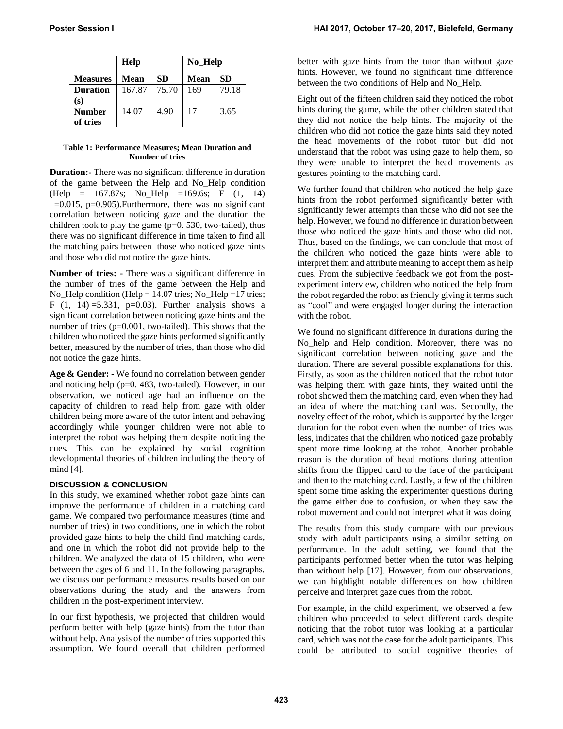|                 | Help   |       | No_Help |           |
|-----------------|--------|-------|---------|-----------|
| <b>Measures</b> | Mean   | SD.   | Mean    | <b>SD</b> |
| <b>Duration</b> | 167.87 | 75.70 | 169     | 79.18     |
| (s)             |        |       |         |           |
| <b>Number</b>   | 14.07  | 4.90  | 17      | 3.65      |
| of tries        |        |       |         |           |

#### **Table 1: Performance Measures; Mean Duration and Number of tries**

**Duration:-** There was no significant difference in duration of the game between the Help and No\_Help condition (Help = 167.87s; No\_Help =169.6s; F (1, 14)  $=0.015$ , p $=0.905$ ). Furthermore, there was no significant correlation between noticing gaze and the duration the children took to play the game  $(p=0.530, two-tailed)$ , thus there was no significant difference in time taken to find all the matching pairs between those who noticed gaze hints and those who did not notice the gaze hints.

**Number of tries: -** There was a significant difference in the number of tries of the game between the Help and No Help condition (Help = 14.07 tries; No Help =17 tries; F  $(1, 14) = 5.331$ , p=0.03). Further analysis shows a significant correlation between noticing gaze hints and the number of tries (p=0.001, two-tailed). This shows that the children who noticed the gaze hints performed significantly better, measured by the number of tries, than those who did not notice the gaze hints.

**Age & Gender:** - We found no correlation between gender and noticing help (p=0. 483, two-tailed). However, in our observation, we noticed age had an influence on the capacity of children to read help from gaze with older children being more aware of the tutor intent and behaving accordingly while younger children were not able to interpret the robot was helping them despite noticing the cues. This can be explained by social cognition developmental theories of children including the theory of mind [4].

# **DISCUSSION & CONCLUSION**

In this study, we examined whether robot gaze hints can improve the performance of children in a matching card game. We compared two performance measures (time and number of tries) in two conditions, one in which the robot provided gaze hints to help the child find matching cards, and one in which the robot did not provide help to the children. We analyzed the data of 15 children, who were between the ages of 6 and 11. In the following paragraphs, we discuss our performance measures results based on our observations during the study and the answers from children in the post-experiment interview.

In our first hypothesis, we projected that children would perform better with help (gaze hints) from the tutor than without help. Analysis of the number of tries supported this assumption. We found overall that children performed better with gaze hints from the tutor than without gaze hints. However, we found no significant time difference between the two conditions of Help and No Help.

Eight out of the fifteen children said they noticed the robot hints during the game, while the other children stated that they did not notice the help hints. The majority of the children who did not notice the gaze hints said they noted the head movements of the robot tutor but did not understand that the robot was using gaze to help them, so they were unable to interpret the head movements as gestures pointing to the matching card.

We further found that children who noticed the help gaze hints from the robot performed significantly better with significantly fewer attempts than those who did not see the help. However, we found no difference in duration between those who noticed the gaze hints and those who did not. Thus, based on the findings, we can conclude that most of the children who noticed the gaze hints were able to interpret them and attribute meaning to accept them as help cues. From the subjective feedback we got from the postexperiment interview, children who noticed the help from the robot regarded the robot as friendly giving it terms such as "cool" and were engaged longer during the interaction with the robot.

We found no significant difference in durations during the No help and Help condition. Moreover, there was no significant correlation between noticing gaze and the duration. There are several possible explanations for this. Firstly, as soon as the children noticed that the robot tutor was helping them with gaze hints, they waited until the robot showed them the matching card, even when they had an idea of where the matching card was. Secondly, the novelty effect of the robot, which is supported by the larger duration for the robot even when the number of tries was less, indicates that the children who noticed gaze probably spent more time looking at the robot. Another probable reason is the duration of head motions during attention shifts from the flipped card to the face of the participant and then to the matching card. Lastly, a few of the children spent some time asking the experimenter questions during the game either due to confusion, or when they saw the robot movement and could not interpret what it was doing

The results from this study compare with our previous study with adult participants using a similar setting on performance. In the adult setting, we found that the participants performed better when the tutor was helping than without help [17]. However, from our observations, we can highlight notable differences on how children perceive and interpret gaze cues from the robot.

For example, in the child experiment, we observed a few children who proceeded to select different cards despite noticing that the robot tutor was looking at a particular card, which was not the case for the adult participants. This could be attributed to social cognitive theories of